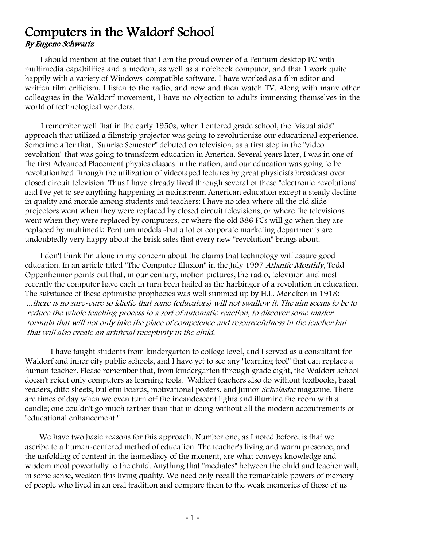## Computers in the Waldorf School By Eugene Schwartz

I should mention at the outset that I am the proud owner of a Pentium desktop PC with multimedia capabilities and a modem, as well as a notebook computer, and that I work quite happily with a variety of Windows-compatible software. I have worked as a film editor and written film criticism, I listen to the radio, and now and then watch TV. Along with many other colleagues in the Waldorf movement, I have no objection to adults immersing themselves in the world of technological wonders.

I remember well that in the early 1950s, when I entered grade school, the "visual aids" approach that utilized a filmstrip projector was going to revolutionize our educational experience. Sometime after that, "Sunrise Semester" debuted on television, as a first step in the "video revolution" that was going to transform education in America. Several years later, I was in one of the first Advanced Placement physics classes in the nation, and our education was going to be revolutionized through the utilization of videotaped lectures by great physicists broadcast over closed circuit television. Thus I have already lived through several of these "electronic revolutions" and I've yet to see anything happening in mainstream American education except a steady decline in quality and morale among students and teachers: I have no idea where all the old slide projectors went when they were replaced by closed circuit televisions, or where the televisions went when they were replaced by computers, or where the old 386 PCs will go when they are replaced by multimedia Pentium models -but a lot of corporate marketing departments are undoubtedly very happy about the brisk sales that every new "revolution" brings about.

I don't think I'm alone in my concern about the claims that technology will assure good education. In an article titled "The Computer Illusion" in the July 1997 Atlantic Monthly, Todd Oppenheimer points out that, in our century, motion pictures, the radio, television and most recently the computer have each in turn been hailed as the harbinger of a revolution in education. The substance of these optimistic prophecies was well summed up by H.L. Mencken in 1918: ...there is no sure-cure so idiotic that some (educators) will not swallow it. The aim seems to be to reduce the whole teaching process to a sort of automatic reaction, to discover some master formula that will not only take the place of competence and resourcefulness in the teacher but that will also create an artificial receptivity in the child.

I have taught students from kindergarten to college level, and I served as a consultant for Waldorf and inner city public schools, and I have yet to see any "learning tool" that can replace a human teacher. Please remember that, from kindergarten through grade eight, the Waldorf school doesn't reject only computers as learning tools. Waldorf teachers also do without textbooks, basal readers, ditto sheets, bulletin boards, motivational posters, and Junior *Scholastic* magazine. There are times of day when we even turn off the incandescent lights and illumine the room with a candle; one couldn't go much farther than that in doing without all the modern accoutrements of "educational enhancement."

We have two basic reasons for this approach. Number one, as I noted before, is that we ascribe to a human-centered method of education. The teacher's living and warm presence, and the unfolding of content in the immediacy of the moment, are what conveys knowledge and wisdom most powerfully to the child. Anything that "mediates" between the child and teacher will, in some sense, weaken this living quality. We need only recall the remarkable powers of memory of people who lived in an oral tradition and compare them to the weak memories of those of us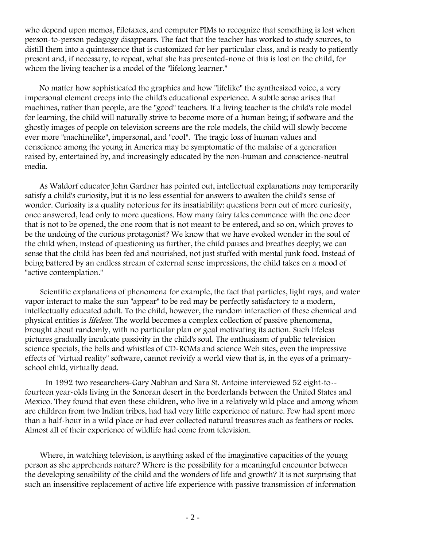who depend upon memos, Filofaxes, and computer PIMs to recognize that something is lost when person-to-person pedagogy disappears. The fact that the teacher has worked to study sources, to distill them into a quintessence that is customized for her particular class, and is ready to patiently present and, if necessary, to repeat, what she has presented-none of this is lost on the child, for whom the living teacher is a model of the "lifelong learner."

No matter how sophisticated the graphics and how "lifelike" the synthesized voice, a very impersonal element creeps into the child's educational experience. A subtle sense arises that machines, rather than people, are the "good" teachers. If a living teacher is the child's role model for learning, the child will naturally strive to become more of a human being; if software and the ghostly images of people on television screens are the role models, the child will slowly become ever more "machinelike", impersonal, and "cool". The tragic loss of human values and conscience among the young in America may be symptomatic of the malaise of a generation raised by, entertained by, and increasingly educated by the non-human and conscience-neutral media.

As Waldorf educator John Gardner has pointed out, intellectual explanations may temporarily satisfy a child's curiosity, but it is no less essential for answers to awaken the child's sense of wonder. Curiosity is a quality notorious for its insatiability: questions born out of mere curiosity, once answered, lead only to more questions. How many fairy tales commence with the one door that is not to be opened, the one room that is not meant to be entered, and so on, which proves to be the undoing of the curious protagonist? We know that we have evoked wonder in the soul of the child when, instead of questioning us further, the child pauses and breathes deeply; we can sense that the child has been fed and nourished, not just stuffed with mental junk food. Instead of being battered by an endless stream of external sense impressions, the child takes on a mood of "active contemplation."

Scientific explanations of phenomena for example, the fact that particles, light rays, and water vapor interact to make the sun "appear" to be red may be perfectly satisfactory to a modern, intellectually educated adult. To the child, however, the random interaction of these chemical and physical entities is lifeless. The world becomes a complex collection of passive phenomena, brought about randomly, with no particular plan or goal motivating its action. Such lifeless pictures gradually inculcate passivity in the child's soul. The enthusiasm of public television science specials, the bells and whistles of CD-ROMs and science Web sites, even the impressive effects of "virtual reality" software, cannot revivify a world view that is, in the eyes of a primaryschool child, virtually dead.

In 1992 two researchers-Gary Nabhan and Sara St. Antoine interviewed 52 eight-to- fourteen year-olds living in the Sonoran desert in the borderlands between the United States and Mexico. They found that even these children, who live in a relatively wild place and among whom are children from two Indian tribes, had had very little experience of nature. Few had spent more than a half-hour in a wild place or had ever collected natural treasures such as feathers or rocks. Almost all of their experience of wildlife had come from television.

Where, in watching television, is anything asked of the imaginative capacities of the young person as she apprehends nature? Where is the possibility for a meaningful encounter between the developing sensibility of the child and the wonders of life and growth? It is not surprising that such an insensitive replacement of active life experience with passive transmission of information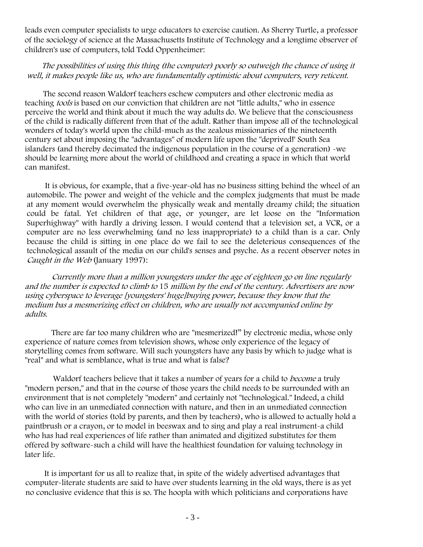leads even computer specialists to urge educators to exercise caution. As Sherry Turtle, a professor of the sociology of science at the Massachusetts Institute of Technology and a longtime observer of children's use of computers, told Todd Oppenheimer:

## The possibilities of using this thing (the computer) poorly so outweigh the chance of using it well, it makes people like us, who are fundamentally optimistic about computers, very reticent.

The second reason Waldorf teachers eschew computers and other electronic media as teaching tools is based on our conviction that children are not "little adults," who in essence perceive the world and think about it much the way adults do. We believe that the consciousness of the child is radically different from that of the adult. Rather than impose all of the technological wonders of today's world upon the child-much as the zealous missionaries of the nineteenth century set about imposing the "advantages" of modern life upon the "deprived!' South Sea islanders (and thereby decimated the indigenous population in the course of a generation) -we should be learning more about the world of childhood and creating a space in which that world can manifest.

It is obvious, for example, that a five-year-old has no business sitting behind the wheel of an automobile. The power and weight of the vehicle and the complex judgments that must be made at any moment would overwhelm the physically weak and mentally dreamy child; the situation could be fatal. Yet children of that age, or younger, are let loose on the "Information Superhighway" with hardly a driving lesson. I would contend that a television set, a VCR, or a computer are no less overwhelming (and no less inappropriate) to a child than is a car. Only because the child is sitting in one place do we fail to see the deleterious consequences of the technological assault of the media on our child's senses and psyche. As a recent observer notes in Caught in the Web (January 1997):

Currently more than a million youngsters under the age of eighteen go on line regularly and the number is expected to climb to 15 million by the end of the century. Advertisers are now using cyberspace to leverage [youngsters' huge]buying power, because they know that the medium bas a mesmerizing effect on children, who are usually not accompanied online by adults.

There are far too many children who are "mesmerized!" by electronic media, whose only experience of nature comes from television shows, whose only experience of the legacy of storytelling comes from software. Will such youngsters have any basis by which to judge what is "real" and what is semblance, what is true and what is false?

Waldorf teachers believe that it takes a number of years for a child to *become* a truly "modern person," and that in the course of those years the child needs to be surrounded with an environment that is not completely "modern" and certainly not "technological." Indeed, a child who can live in an unmediated connection with nature, and then in an unmediated connection with the world of stories (told by parents, and then by teachers), who is allowed to actually hold a paintbrush or a crayon, or to model in beeswax and to sing and play a real instrument-a child who has had real experiences of life rather than animated and digitized substitutes for them offered by software-such a child will have the healthiest foundation for valuing technology in later life.

It is important for us all to realize that, in spite of the widely advertised advantages that computer-literate students are said to have over students learning in the old ways, there is as yet no conclusive evidence that this is so. The hoopla with which politicians and corporations have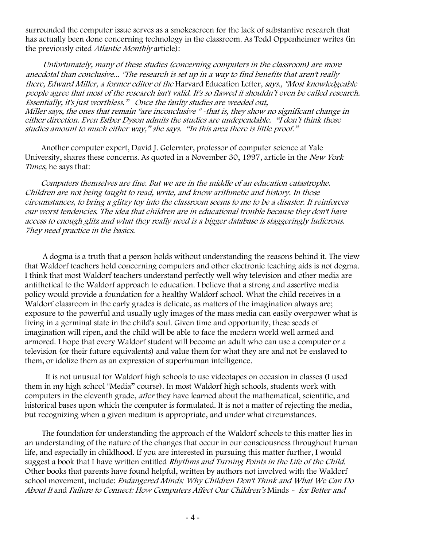surrounded the computer issue serves as a smokescreen for the lack of substantive research that has actually been done concerning technology in the classroom. As Todd Oppenheimer writes (in the previously cited Atlantic Monthly article):

Unfortunately, many of these studies (concerning computers in the classroom) are more anecdotal than conclusive... "The research is set up in a way to find benefits that aren't really there, Edward Miller, a former editor of the Harvard Education Letter, says., "Most knowledgeable people agree that most of the research isn't valid. It's so flawed it shouldn't even be called research. Essentially, it's just worthless." Once the faulty studies are weeded out, Miller says, the ones that remain "are inconclusive " -that is, they show no significant change in either direction. Even Estber Dyson admits the studies are undependable. "I don't think those studies amount to much either way," she says. "In this area there is little proof."

Another computer expert, David J. Gelernter, professor of computer science at Yale University, shares these concerns. As quoted in a November 30, 1997, article in the New York Times, he says that:

Computers themselves are fine. But we are in the middle of an education catastrophe. Children are not being taught to read, write, and know arithmetic and history. In those circumstances, to bring a glitzy toy into the classroom seems to me to be a disaster. It reinforces our worst tendencies. The idea that children are in educational trouble because they don't have access to enough glitz and what they really need is a bigger database is staggeringly ludicrous. 7hey need practice in the basics.

A dogma is a truth that a person holds without understanding the reasons behind it. The view that Waldorf teachers hold concerning computers and other electronic teaching aids is not dogma. I think that most Waldorf teachers understand perfectly well why television and other media are antithetical to the Waldorf approach to education. I believe that a strong and assertive media policy would provide a foundation for a healthy Waldorf school. What the child receives in a Waldorf classroom in the early grades is delicate, as matters of the imagination always are; exposure to the powerful and usually ugly images of the mass media can easily overpower what is living in a germinal state in the child's soul. Given time and opportunity, these seeds of imagination will ripen, and the child will be able to face the modern world well armed and armored. I hope that every Waldorf student will become an adult who can use a computer or a television (or their future equivalents) and value them for what they are and not be enslaved to them, or idolize them as an expression of superhuman intelligence.

It is not unusual for Waldorf high schools to use videotapes on occasion in classes (I used them in my high school "Media" course). In most Waldorf high schools, students work with computers in the eleventh grade, *after* they have learned about the mathematical, scientific, and historical bases upon which the computer is formulated. It is not a matter of rejecting the media, but recognizing when a given medium is appropriate, and under what circumstances.

The foundation for understanding the approach of the Waldorf schools to this matter lies in an understanding of the nature of the changes that occur in our consciousness throughout human life, and especially in childhood. If you are interested in pursuing this matter further, I would suggest a book that I have written entitled Rhythms and Turning Points in the Life of the Child. Other books that parents have found helpful, written by authors not involved with the Waldorf school movement, include: Endangered Minds: Why Children Don't Think and What We Can Do About It and Failure to Connect: How Computers Affect Our Children's Minds - for Better and